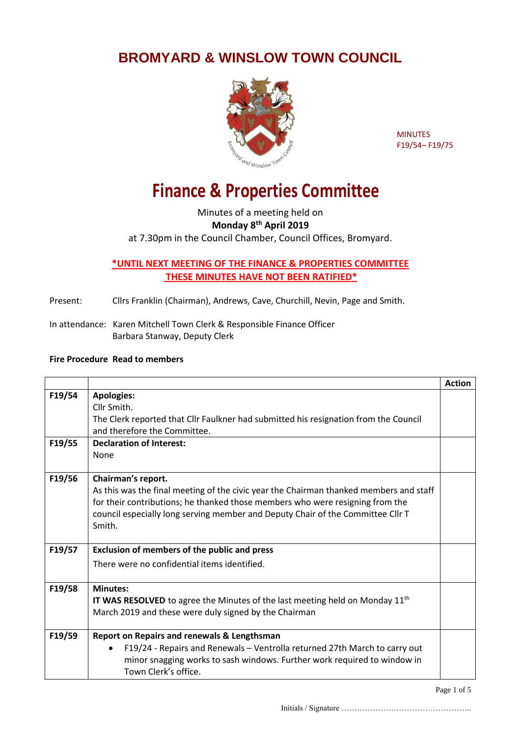## **BROMYARD & WINSLOW TOWN COUNCIL**



MINUTES F19/54– F19/75

## **Finance & Properties Committee**

Minutes of a meeting held on **Monday 8th April 2019** at 7.30pm in the Council Chamber, Council Offices, Bromyard.

## **\*UNTIL NEXT MEETING OF THE FINANCE & PROPERTIES COMMITTEE THESE MINUTES HAVE NOT BEEN RATIFIED\***

Present: Cllrs Franklin (Chairman), Andrews, Cave, Churchill, Nevin, Page and Smith.

In attendance: Karen Mitchell Town Clerk & Responsible Finance Officer Barbara Stanway, Deputy Clerk

## **Fire Procedure Read to members**

|        |                                                                                                                                                                                                                                                                                            | <b>Action</b> |
|--------|--------------------------------------------------------------------------------------------------------------------------------------------------------------------------------------------------------------------------------------------------------------------------------------------|---------------|
| F19/54 | <b>Apologies:</b><br>Cllr Smith.<br>The Clerk reported that Cllr Faulkner had submitted his resignation from the Council                                                                                                                                                                   |               |
|        | and therefore the Committee.                                                                                                                                                                                                                                                               |               |
| F19/55 | <b>Declaration of Interest:</b>                                                                                                                                                                                                                                                            |               |
|        | <b>None</b>                                                                                                                                                                                                                                                                                |               |
| F19/56 | Chairman's report.<br>As this was the final meeting of the civic year the Chairman thanked members and staff<br>for their contributions; he thanked those members who were resigning from the<br>council especially long serving member and Deputy Chair of the Committee Cllr T<br>Smith. |               |
| F19/57 | <b>Exclusion of members of the public and press</b><br>There were no confidential items identified.                                                                                                                                                                                        |               |
| F19/58 | <b>Minutes:</b><br><b>IT WAS RESOLVED</b> to agree the Minutes of the last meeting held on Monday $11th$<br>March 2019 and these were duly signed by the Chairman                                                                                                                          |               |
| F19/59 | Report on Repairs and renewals & Lengthsman<br>F19/24 - Repairs and Renewals - Ventrolla returned 27th March to carry out<br>$\bullet$<br>minor snagging works to sash windows. Further work required to window in<br>Town Clerk's office.                                                 |               |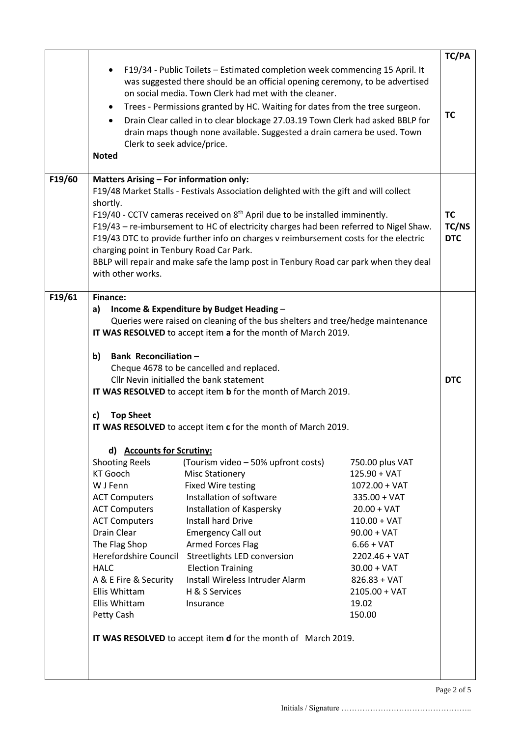|        | Clerk to seek advice/price.<br><b>Noted</b>                                                                                                                                                                                                   | F19/34 - Public Toilets - Estimated completion week commencing 15 April. It<br>was suggested there should be an official opening ceremony, to be advertised<br>on social media. Town Clerk had met with the cleaner.<br>Trees - Permissions granted by HC. Waiting for dates from the tree surgeon.<br>Drain Clear called in to clear blockage 27.03.19 Town Clerk had asked BBLP for<br>drain maps though none available. Suggested a drain camera be used. Town |                                                                                                                                                                                                                                        | TC/PA<br>TC                      |
|--------|-----------------------------------------------------------------------------------------------------------------------------------------------------------------------------------------------------------------------------------------------|-------------------------------------------------------------------------------------------------------------------------------------------------------------------------------------------------------------------------------------------------------------------------------------------------------------------------------------------------------------------------------------------------------------------------------------------------------------------|----------------------------------------------------------------------------------------------------------------------------------------------------------------------------------------------------------------------------------------|----------------------------------|
| F19/60 | <b>Matters Arising - For information only:</b>                                                                                                                                                                                                | F19/48 Market Stalls - Festivals Association delighted with the gift and will collect                                                                                                                                                                                                                                                                                                                                                                             |                                                                                                                                                                                                                                        |                                  |
|        | shortly.<br>charging point in Tenbury Road Car Park.<br>with other works.                                                                                                                                                                     | F19/40 - CCTV cameras received on 8 <sup>th</sup> April due to be installed imminently.<br>F19/43 - re-imbursement to HC of electricity charges had been referred to Nigel Shaw.<br>F19/43 DTC to provide further info on charges v reimbursement costs for the electric<br>BBLP will repair and make safe the lamp post in Tenbury Road car park when they deal                                                                                                  |                                                                                                                                                                                                                                        | <b>TC</b><br>TC/NS<br><b>DTC</b> |
| F19/61 | <b>Finance:</b>                                                                                                                                                                                                                               |                                                                                                                                                                                                                                                                                                                                                                                                                                                                   |                                                                                                                                                                                                                                        |                                  |
|        | Income & Expenditure by Budget Heading -<br>a)<br>Queries were raised on cleaning of the bus shelters and tree/hedge maintenance<br>IT WAS RESOLVED to accept item a for the month of March 2019.<br>Bank Reconciliation-<br>b)               |                                                                                                                                                                                                                                                                                                                                                                                                                                                                   |                                                                                                                                                                                                                                        |                                  |
|        |                                                                                                                                                                                                                                               | Cheque 4678 to be cancelled and replaced.                                                                                                                                                                                                                                                                                                                                                                                                                         |                                                                                                                                                                                                                                        |                                  |
|        | Cllr Nevin initialled the bank statement<br>IT WAS RESOLVED to accept item b for the month of March 2019.                                                                                                                                     |                                                                                                                                                                                                                                                                                                                                                                                                                                                                   |                                                                                                                                                                                                                                        | <b>DTC</b>                       |
|        | <b>Top Sheet</b><br>c)<br>IT WAS RESOLVED to accept item c for the month of March 2019.                                                                                                                                                       |                                                                                                                                                                                                                                                                                                                                                                                                                                                                   |                                                                                                                                                                                                                                        |                                  |
|        | d) Accounts for Scrutiny:                                                                                                                                                                                                                     |                                                                                                                                                                                                                                                                                                                                                                                                                                                                   |                                                                                                                                                                                                                                        |                                  |
|        | <b>Shooting Reels</b><br>KT Gooch<br>W J Fenn<br><b>ACT Computers</b><br><b>ACT Computers</b><br><b>ACT Computers</b><br>Drain Clear<br>The Flag Shop<br><b>HALC</b><br>A & E Fire & Security<br>Ellis Whittam<br>Ellis Whittam<br>Petty Cash | (Tourism video - 50% upfront costs)<br><b>Misc Stationery</b><br><b>Fixed Wire testing</b><br>Installation of software<br>Installation of Kaspersky<br>Install hard Drive<br><b>Emergency Call out</b><br><b>Armed Forces Flag</b><br>Herefordshire Council Streetlights LED conversion<br><b>Election Training</b><br>Install Wireless Intruder Alarm<br>H & S Services<br>Insurance<br>IT WAS RESOLVED to accept item <b>d</b> for the month of March 2019.     | 750.00 plus VAT<br>$125.90 + VAT$<br>$1072.00 + VAT$<br>$335.00 + VAT$<br>$20.00 + VAT$<br>$110.00 + VAT$<br>$90.00 + VAT$<br>$6.66 + VAT$<br>$2202.46 + VAT$<br>$30.00 + VAT$<br>$826.83 + VAT$<br>$2105.00 + VAT$<br>19.02<br>150.00 |                                  |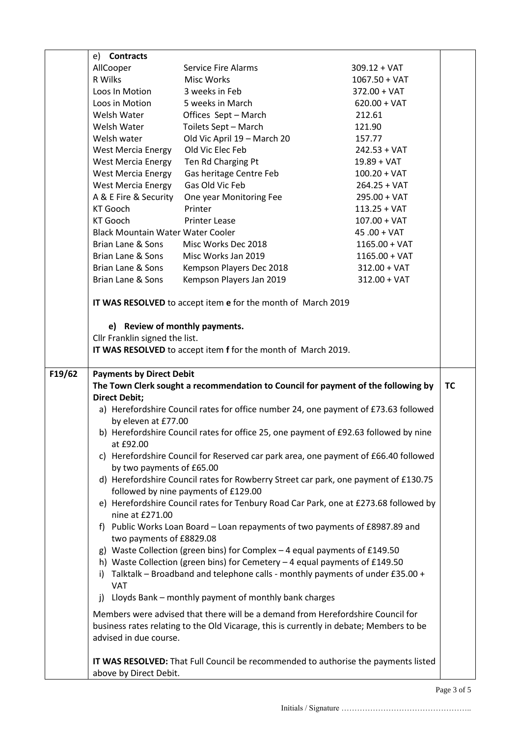|        | e) <b>Contracts</b>                      |                                                                                         |                                                                                      |           |
|--------|------------------------------------------|-----------------------------------------------------------------------------------------|--------------------------------------------------------------------------------------|-----------|
|        | AllCooper                                | <b>Service Fire Alarms</b>                                                              | $309.12 + VAT$                                                                       |           |
|        | R Wilks                                  | <b>Misc Works</b>                                                                       | $1067.50 + VAT$                                                                      |           |
|        | Loos In Motion                           | 3 weeks in Feb                                                                          | $372.00 + VAT$                                                                       |           |
|        | Loos in Motion                           | 5 weeks in March                                                                        | $620.00 + VAT$                                                                       |           |
|        | Welsh Water                              | Offices Sept - March                                                                    | 212.61                                                                               |           |
|        | Welsh Water                              | Toilets Sept - March                                                                    | 121.90                                                                               |           |
|        | Welsh water                              | Old Vic April 19 - March 20                                                             | 157.77                                                                               |           |
|        | <b>West Mercia Energy</b>                | Old Vic Elec Feb                                                                        | $242.53 + VAT$                                                                       |           |
|        | <b>West Mercia Energy</b>                | Ten Rd Charging Pt                                                                      | $19.89 + VAT$                                                                        |           |
|        | <b>West Mercia Energy</b>                | Gas heritage Centre Feb                                                                 | $100.20 + VAT$                                                                       |           |
|        | <b>West Mercia Energy</b>                | Gas Old Vic Feb                                                                         | $264.25 + VAT$                                                                       |           |
|        | A & E Fire & Security                    | One year Monitoring Fee                                                                 | $295.00 + VAT$                                                                       |           |
|        | <b>KT Gooch</b>                          | Printer                                                                                 | $113.25 + VAT$                                                                       |           |
|        | KT Gooch                                 | <b>Printer Lease</b>                                                                    | $107.00 + VAT$                                                                       |           |
|        | <b>Black Mountain Water Water Cooler</b> |                                                                                         | $45.00 + VAT$                                                                        |           |
|        | Brian Lane & Sons                        | Misc Works Dec 2018                                                                     | $1165.00 + VAT$                                                                      |           |
|        | Brian Lane & Sons                        | Misc Works Jan 2019                                                                     | $1165.00 + VAT$                                                                      |           |
|        | Brian Lane & Sons                        | Kempson Players Dec 2018                                                                | $312.00 + VAT$                                                                       |           |
|        | Brian Lane & Sons                        | Kempson Players Jan 2019                                                                | $312.00 + VAT$                                                                       |           |
|        |                                          | IT WAS RESOLVED to accept item e for the month of March 2019                            |                                                                                      |           |
|        | e) Review of monthly payments.           |                                                                                         |                                                                                      |           |
|        | Cllr Franklin signed the list.           |                                                                                         |                                                                                      |           |
|        |                                          | IT WAS RESOLVED to accept item f for the month of March 2019.                           |                                                                                      |           |
|        |                                          |                                                                                         |                                                                                      |           |
| F19/62 | <b>Payments by Direct Debit</b>          |                                                                                         |                                                                                      |           |
|        |                                          |                                                                                         | The Town Clerk sought a recommendation to Council for payment of the following by    | <b>TC</b> |
|        | <b>Direct Debit;</b>                     |                                                                                         |                                                                                      |           |
|        |                                          |                                                                                         | a) Herefordshire Council rates for office number 24, one payment of £73.63 followed  |           |
|        | by eleven at £77.00                      | b) Herefordshire Council rates for office 25, one payment of £92.63 followed by nine    |                                                                                      |           |
|        | at £92.00                                |                                                                                         |                                                                                      |           |
|        |                                          |                                                                                         | c) Herefordshire Council for Reserved car park area, one payment of £66.40 followed  |           |
|        | by two payments of £65.00                |                                                                                         |                                                                                      |           |
|        |                                          | followed by nine payments of £129.00                                                    | d) Herefordshire Council rates for Rowberry Street car park, one payment of £130.75  |           |
|        |                                          |                                                                                         | e) Herefordshire Council rates for Tenbury Road Car Park, one at £273.68 followed by |           |
|        | nine at £271.00                          |                                                                                         |                                                                                      |           |
|        |                                          | f) Public Works Loan Board – Loan repayments of two payments of £8987.89 and            |                                                                                      |           |
|        | two payments of £8829.08                 |                                                                                         |                                                                                      |           |
|        |                                          | g) Waste Collection (green bins) for Complex - 4 equal payments of £149.50              |                                                                                      |           |
|        |                                          |                                                                                         |                                                                                      |           |
|        |                                          | h) Waste Collection (green bins) for Cemetery - 4 equal payments of £149.50             |                                                                                      |           |
|        |                                          | i) Talktalk - Broadband and telephone calls - monthly payments of under £35.00 +        |                                                                                      |           |
|        | <b>VAT</b>                               |                                                                                         |                                                                                      |           |
|        | i)                                       | Lloyds Bank - monthly payment of monthly bank charges                                   |                                                                                      |           |
|        |                                          | Members were advised that there will be a demand from Herefordshire Council for         |                                                                                      |           |
|        | advised in due course.                   | business rates relating to the Old Vicarage, this is currently in debate; Members to be |                                                                                      |           |
|        |                                          |                                                                                         |                                                                                      |           |
|        | above by Direct Debit.                   |                                                                                         | IT WAS RESOLVED: That Full Council be recommended to authorise the payments listed   |           |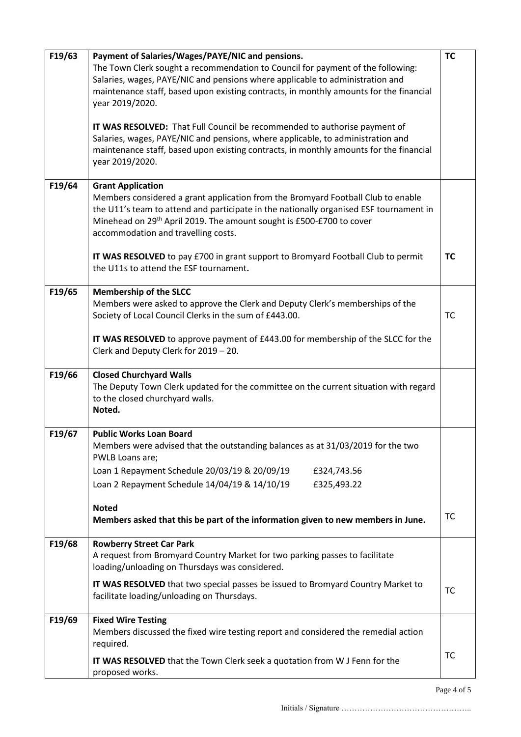| F19/63 | Payment of Salaries/Wages/PAYE/NIC and pensions.<br>The Town Clerk sought a recommendation to Council for payment of the following:<br>Salaries, wages, PAYE/NIC and pensions where applicable to administration and<br>maintenance staff, based upon existing contracts, in monthly amounts for the financial<br>year 2019/2020.<br>IT WAS RESOLVED: That Full Council be recommended to authorise payment of<br>Salaries, wages, PAYE/NIC and pensions, where applicable, to administration and<br>maintenance staff, based upon existing contracts, in monthly amounts for the financial<br>year 2019/2020. | <b>TC</b> |
|--------|----------------------------------------------------------------------------------------------------------------------------------------------------------------------------------------------------------------------------------------------------------------------------------------------------------------------------------------------------------------------------------------------------------------------------------------------------------------------------------------------------------------------------------------------------------------------------------------------------------------|-----------|
| F19/64 | <b>Grant Application</b><br>Members considered a grant application from the Bromyard Football Club to enable<br>the U11's team to attend and participate in the nationally organised ESF tournament in<br>Minehead on 29 <sup>th</sup> April 2019. The amount sought is £500-£700 to cover<br>accommodation and travelling costs.                                                                                                                                                                                                                                                                              |           |
|        | IT WAS RESOLVED to pay £700 in grant support to Bromyard Football Club to permit<br>the U11s to attend the ESF tournament.                                                                                                                                                                                                                                                                                                                                                                                                                                                                                     | <b>TC</b> |
| F19/65 | <b>Membership of the SLCC</b><br>Members were asked to approve the Clerk and Deputy Clerk's memberships of the<br>Society of Local Council Clerks in the sum of £443.00.                                                                                                                                                                                                                                                                                                                                                                                                                                       | TC        |
|        | IT WAS RESOLVED to approve payment of £443.00 for membership of the SLCC for the<br>Clerk and Deputy Clerk for 2019 - 20.                                                                                                                                                                                                                                                                                                                                                                                                                                                                                      |           |
| F19/66 | <b>Closed Churchyard Walls</b><br>The Deputy Town Clerk updated for the committee on the current situation with regard<br>to the closed churchyard walls.<br>Noted.                                                                                                                                                                                                                                                                                                                                                                                                                                            |           |
| F19/67 | <b>Public Works Loan Board</b><br>Members were advised that the outstanding balances as at 31/03/2019 for the two<br>PWLB Loans are;                                                                                                                                                                                                                                                                                                                                                                                                                                                                           |           |
|        | Loan 1 Repayment Schedule 20/03/19 & 20/09/19<br>£324,743.56<br>Loan 2 Repayment Schedule 14/04/19 & 14/10/19<br>£325,493.22                                                                                                                                                                                                                                                                                                                                                                                                                                                                                   |           |
|        | <b>Noted</b><br>Members asked that this be part of the information given to new members in June.                                                                                                                                                                                                                                                                                                                                                                                                                                                                                                               | TC        |
| F19/68 | <b>Rowberry Street Car Park</b><br>A request from Bromyard Country Market for two parking passes to facilitate<br>loading/unloading on Thursdays was considered.                                                                                                                                                                                                                                                                                                                                                                                                                                               |           |
|        | IT WAS RESOLVED that two special passes be issued to Bromyard Country Market to<br>facilitate loading/unloading on Thursdays.                                                                                                                                                                                                                                                                                                                                                                                                                                                                                  | TC        |
| F19/69 | <b>Fixed Wire Testing</b><br>Members discussed the fixed wire testing report and considered the remedial action<br>required.                                                                                                                                                                                                                                                                                                                                                                                                                                                                                   |           |
|        | IT WAS RESOLVED that the Town Clerk seek a quotation from W J Fenn for the<br>proposed works.                                                                                                                                                                                                                                                                                                                                                                                                                                                                                                                  | <b>TC</b> |